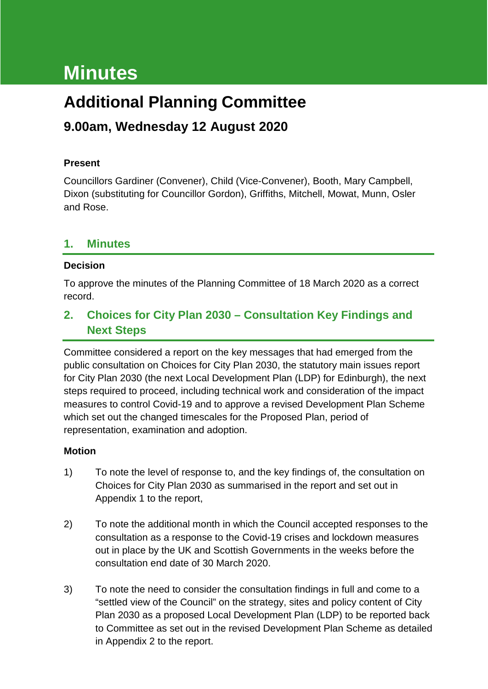# **Minutes**

## **Additional Planning Committee**

## **9.00am, Wednesday 12 August 2020**

## **Present**

Councillors Gardiner (Convener), Child (Vice-Convener), Booth, Mary Campbell, Dixon (substituting for Councillor Gordon), Griffiths, Mitchell, Mowat, Munn, Osler and Rose.

## **1. Minutes**

## **Decision**

To approve the minutes of the Planning Committee of 18 March 2020 as a correct record.

## **2. Choices for City Plan 2030 – Consultation Key Findings and Next Steps**

Committee considered a report on the key messages that had emerged from the public consultation on Choices for City Plan 2030, the statutory main issues report for City Plan 2030 (the next Local Development Plan (LDP) for Edinburgh), the next steps required to proceed, including technical work and consideration of the impact measures to control Covid-19 and to approve a revised Development Plan Scheme which set out the changed timescales for the Proposed Plan, period of representation, examination and adoption.

## **Motion**

- 1) To note the level of response to, and the key findings of, the consultation on Choices for City Plan 2030 as summarised in the report and set out in Appendix 1 to the report,
- 2) To note the additional month in which the Council accepted responses to the consultation as a response to the Covid-19 crises and lockdown measures out in place by the UK and Scottish Governments in the weeks before the consultation end date of 30 March 2020.
- 3) To note the need to consider the consultation findings in full and come to a "settled view of the Council" on the strategy, sites and policy content of City Plan 2030 as a proposed Local Development Plan (LDP) to be reported back to Committee as set out in the revised Development Plan Scheme as detailed in Appendix 2 to the report.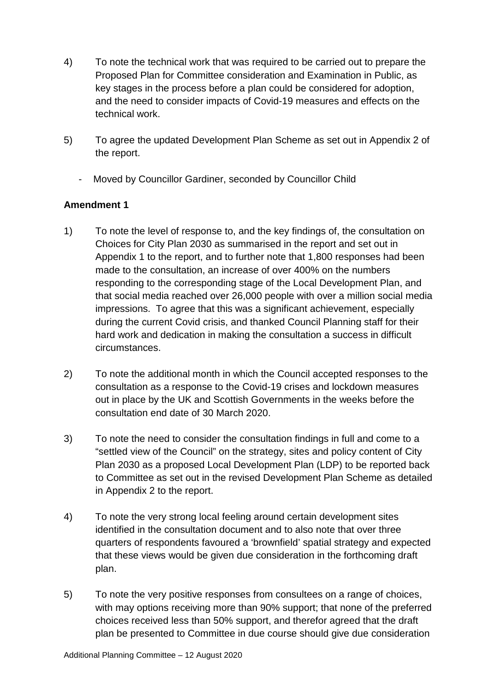- 4) To note the technical work that was required to be carried out to prepare the Proposed Plan for Committee consideration and Examination in Public, as key stages in the process before a plan could be considered for adoption, and the need to consider impacts of Covid-19 measures and effects on the technical work.
- 5) To agree the updated Development Plan Scheme as set out in Appendix 2 of the report.
	- Moved by Councillor Gardiner, seconded by Councillor Child

## **Amendment 1**

- 1) To note the level of response to, and the key findings of, the consultation on Choices for City Plan 2030 as summarised in the report and set out in Appendix 1 to the report, and to further note that 1,800 responses had been made to the consultation, an increase of over 400% on the numbers responding to the corresponding stage of the Local Development Plan, and that social media reached over 26,000 people with over a million social media impressions. To agree that this was a significant achievement, especially during the current Covid crisis, and thanked Council Planning staff for their hard work and dedication in making the consultation a success in difficult circumstances.
- 2) To note the additional month in which the Council accepted responses to the consultation as a response to the Covid-19 crises and lockdown measures out in place by the UK and Scottish Governments in the weeks before the consultation end date of 30 March 2020.
- 3) To note the need to consider the consultation findings in full and come to a "settled view of the Council" on the strategy, sites and policy content of City Plan 2030 as a proposed Local Development Plan (LDP) to be reported back to Committee as set out in the revised Development Plan Scheme as detailed in Appendix 2 to the report.
- 4) To note the very strong local feeling around certain development sites identified in the consultation document and to also note that over three quarters of respondents favoured a 'brownfield' spatial strategy and expected that these views would be given due consideration in the forthcoming draft plan.
- 5) To note the very positive responses from consultees on a range of choices, with may options receiving more than 90% support; that none of the preferred choices received less than 50% support, and therefor agreed that the draft plan be presented to Committee in due course should give due consideration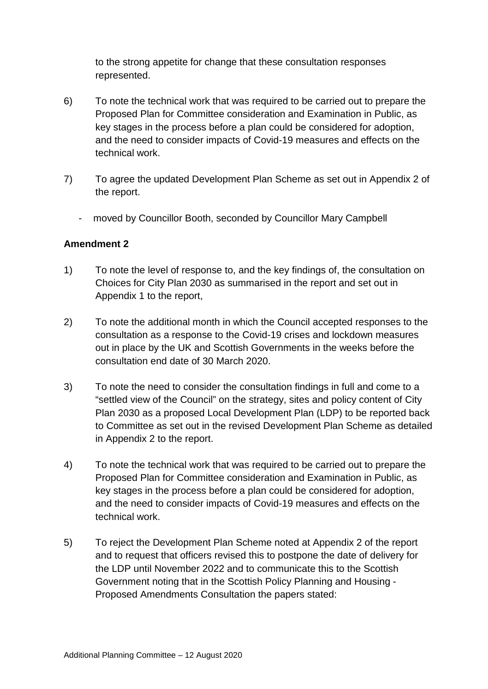to the strong appetite for change that these consultation responses represented.

- 6) To note the technical work that was required to be carried out to prepare the Proposed Plan for Committee consideration and Examination in Public, as key stages in the process before a plan could be considered for adoption, and the need to consider impacts of Covid-19 measures and effects on the technical work.
- 7) To agree the updated Development Plan Scheme as set out in Appendix 2 of the report.
	- moved by Councillor Booth, seconded by Councillor Mary Campbell

## **Amendment 2**

- 1) To note the level of response to, and the key findings of, the consultation on Choices for City Plan 2030 as summarised in the report and set out in Appendix 1 to the report,
- 2) To note the additional month in which the Council accepted responses to the consultation as a response to the Covid-19 crises and lockdown measures out in place by the UK and Scottish Governments in the weeks before the consultation end date of 30 March 2020.
- 3) To note the need to consider the consultation findings in full and come to a "settled view of the Council" on the strategy, sites and policy content of City Plan 2030 as a proposed Local Development Plan (LDP) to be reported back to Committee as set out in the revised Development Plan Scheme as detailed in Appendix 2 to the report.
- 4) To note the technical work that was required to be carried out to prepare the Proposed Plan for Committee consideration and Examination in Public, as key stages in the process before a plan could be considered for adoption, and the need to consider impacts of Covid-19 measures and effects on the technical work.
- 5) To reject the Development Plan Scheme noted at Appendix 2 of the report and to request that officers revised this to postpone the date of delivery for the LDP until November 2022 and to communicate this to the Scottish Government noting that in the Scottish Policy Planning and Housing - Proposed Amendments Consultation the papers stated: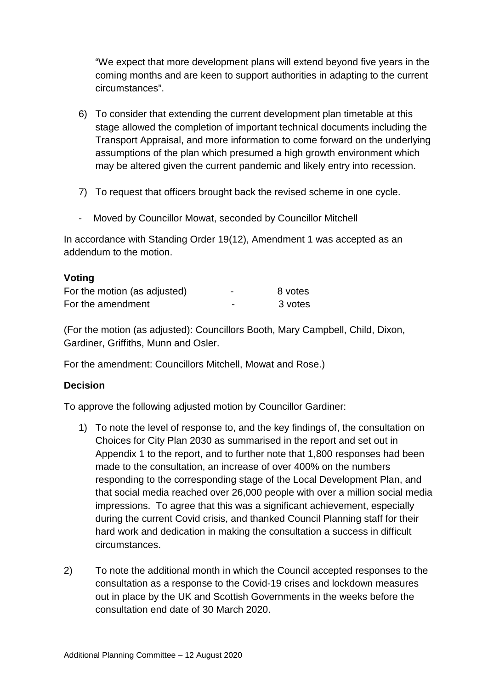"We expect that more development plans will extend beyond five years in the coming months and are keen to support authorities in adapting to the current circumstances".

- 6) To consider that extending the current development plan timetable at this stage allowed the completion of important technical documents including the Transport Appraisal, and more information to come forward on the underlying assumptions of the plan which presumed a high growth environment which may be altered given the current pandemic and likely entry into recession.
- 7) To request that officers brought back the revised scheme in one cycle.
- Moved by Councillor Mowat, seconded by Councillor Mitchell

In accordance with Standing Order 19(12), Amendment 1 was accepted as an addendum to the motion.

#### **Voting**

| For the motion (as adjusted) | - | 8 votes |
|------------------------------|---|---------|
| For the amendment            | - | 3 votes |

(For the motion (as adjusted): Councillors Booth, Mary Campbell, Child, Dixon, Gardiner, Griffiths, Munn and Osler.

For the amendment: Councillors Mitchell, Mowat and Rose.)

## **Decision**

To approve the following adjusted motion by Councillor Gardiner:

- 1) To note the level of response to, and the key findings of, the consultation on Choices for City Plan 2030 as summarised in the report and set out in Appendix 1 to the report, and to further note that 1,800 responses had been made to the consultation, an increase of over 400% on the numbers responding to the corresponding stage of the Local Development Plan, and that social media reached over 26,000 people with over a million social media impressions. To agree that this was a significant achievement, especially during the current Covid crisis, and thanked Council Planning staff for their hard work and dedication in making the consultation a success in difficult circumstances.
- 2) To note the additional month in which the Council accepted responses to the consultation as a response to the Covid-19 crises and lockdown measures out in place by the UK and Scottish Governments in the weeks before the consultation end date of 30 March 2020.